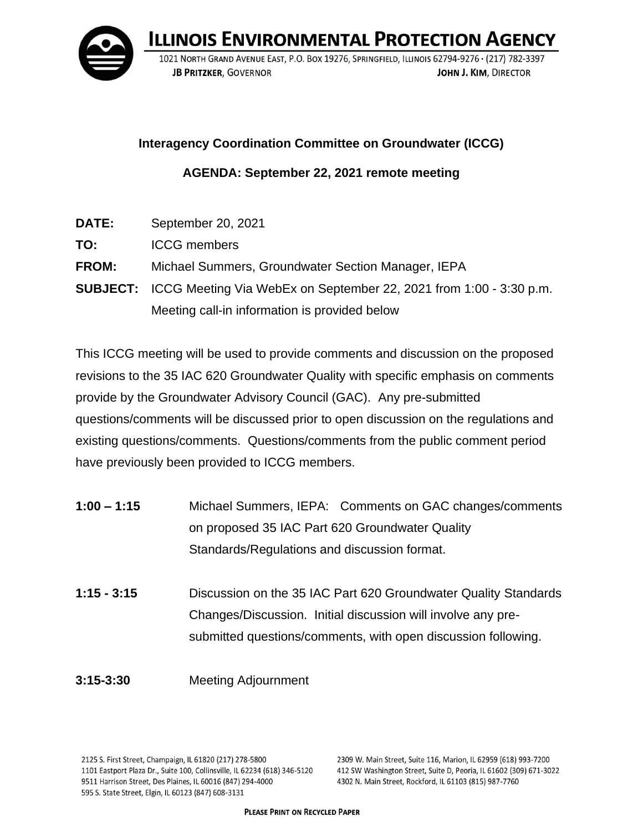

**ILLINOIS ENVIRONMENTAL PROTECTION AGENCY** 

1021 NORTH GRAND AVENUE EAST, P.O. BOX 19276, SPRINGFIELD, ILLINOIS 62794-9276 · (217) 782-3397 **JB PRITZKER. GOVERNOR** JOHN J. KIM. DIRECTOR

**Interagency Coordination Committee on Groundwater (ICCG)**

**AGENDA: September 22, 2021 remote meeting**

- **DATE:** September 20, 2021
- **TO:** ICCG members
- **FROM:** Michael Summers, Groundwater Section Manager, IEPA
- **SUBJECT:** ICCG Meeting Via WebEx on September 22, 2021 from 1:00 3:30 p.m. Meeting call-in information is provided below

This ICCG meeting will be used to provide comments and discussion on the proposed revisions to the 35 IAC 620 Groundwater Quality with specific emphasis on comments provide by the Groundwater Advisory Council (GAC). Any pre-submitted questions/comments will be discussed prior to open discussion on the regulations and existing questions/comments. Questions/comments from the public comment period have previously been provided to ICCG members.

- **1:00 – 1:15** Michael Summers, IEPA: Comments on GAC changes/comments on proposed 35 IAC Part 620 Groundwater Quality Standards/Regulations and discussion format.
- **1:15 - 3:15** Discussion on the 35 IAC Part 620 Groundwater Quality Standards Changes/Discussion. Initial discussion will involve any presubmitted questions/comments, with open discussion following.
- **3:15-3:30** Meeting Adjournment